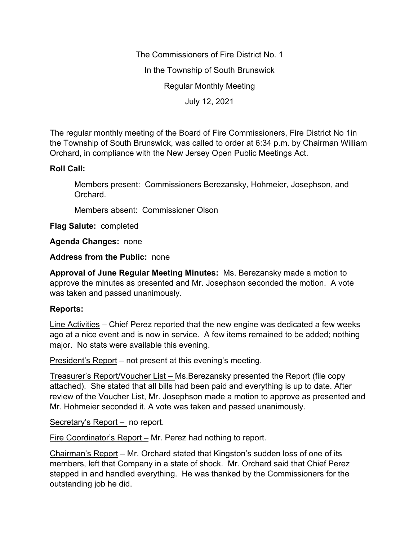The Commissioners of Fire District No. 1 In the Township of South Brunswick Regular Monthly Meeting July 12, 2021

The regular monthly meeting of the Board of Fire Commissioners, Fire District No 1in the Township of South Brunswick, was called to order at 6:34 p.m. by Chairman William Orchard, in compliance with the New Jersey Open Public Meetings Act.

## **Roll Call:**

Members present: Commissioners Berezansky, Hohmeier, Josephson, and Orchard.

Members absent: Commissioner Olson

**Flag Salute:** completed

**Agenda Changes:** none

**Address from the Public:** none

**Approval of June Regular Meeting Minutes:** Ms. Berezansky made a motion to approve the minutes as presented and Mr. Josephson seconded the motion. A vote was taken and passed unanimously.

## **Reports:**

Line Activities – Chief Perez reported that the new engine was dedicated a few weeks ago at a nice event and is now in service. A few items remained to be added; nothing major. No stats were available this evening.

President's Report – not present at this evening's meeting.

Treasurer's Report/Voucher List – Ms.Berezansky presented the Report (file copy attached). She stated that all bills had been paid and everything is up to date. After review of the Voucher List, Mr. Josephson made a motion to approve as presented and Mr. Hohmeier seconded it. A vote was taken and passed unanimously.

Secretary's Report - no report.

Fire Coordinator's Report – Mr. Perez had nothing to report.

Chairman's Report – Mr. Orchard stated that Kingston's sudden loss of one of its members, left that Company in a state of shock. Mr. Orchard said that Chief Perez stepped in and handled everything. He was thanked by the Commissioners for the outstanding job he did.